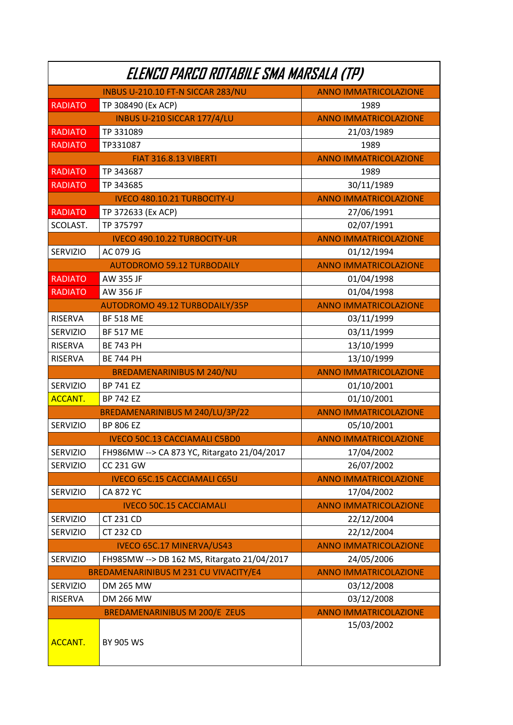| Elenco Parco Rotabile SMA Marsala (TP) |                                             |                              |  |  |
|----------------------------------------|---------------------------------------------|------------------------------|--|--|
|                                        | INBUS U-210.10 FT-N SICCAR 283/NU           | <b>ANNO IMMATRICOLAZIONE</b> |  |  |
| <b>RADIATO</b>                         | TP 308490 (Ex ACP)                          | 1989                         |  |  |
|                                        | INBUS U-210 SICCAR 177/4/LU                 | <b>ANNO IMMATRICOLAZIONE</b> |  |  |
| <b>RADIATO</b>                         | TP 331089                                   | 21/03/1989                   |  |  |
| <b>RADIATO</b>                         | TP331087                                    | 1989                         |  |  |
|                                        | <b>FIAT 316.8.13 VIBERTI</b>                | <b>ANNO IMMATRICOLAZIONE</b> |  |  |
| <b>RADIATO</b>                         | TP 343687                                   | 1989                         |  |  |
| <b>RADIATO</b>                         | TP 343685                                   | 30/11/1989                   |  |  |
|                                        | <b>IVECO 480.10.21 TURBOCITY-U</b>          | <b>ANNO IMMATRICOLAZIONE</b> |  |  |
| <b>RADIATO</b>                         | TP 372633 (Ex ACP)                          | 27/06/1991                   |  |  |
| SCOLAST.                               | TP 375797                                   | 02/07/1991                   |  |  |
|                                        | <b>IVECO 490.10.22 TURBOCITY-UR</b>         | <b>ANNO IMMATRICOLAZIONE</b> |  |  |
| <b>SERVIZIO</b>                        | AC 079 JG                                   | 01/12/1994                   |  |  |
|                                        | <b>AUTODROMO 59.12 TURBODAILY</b>           | <b>ANNO IMMATRICOLAZIONE</b> |  |  |
| <b>RADIATO</b>                         | AW 355 JF                                   | 01/04/1998                   |  |  |
| <b>RADIATO</b>                         | AW 356 JF                                   | 01/04/1998                   |  |  |
|                                        | <b>AUTODROMO 49.12 TURBODAILY/35P</b>       | <b>ANNO IMMATRICOLAZIONE</b> |  |  |
| <b>RISERVA</b>                         | <b>BF 518 ME</b>                            | 03/11/1999                   |  |  |
| <b>SERVIZIO</b>                        | <b>BF 517 ME</b>                            | 03/11/1999                   |  |  |
| <b>RISERVA</b>                         | <b>BE 743 PH</b>                            | 13/10/1999                   |  |  |
| <b>RISERVA</b>                         | <b>BE 744 PH</b>                            | 13/10/1999                   |  |  |
|                                        | <b>BREDAMENARINIBUS M 240/NU</b>            | <b>ANNO IMMATRICOLAZIONE</b> |  |  |
| <b>SERVIZIO</b>                        | <b>BP 741 EZ</b>                            | 01/10/2001                   |  |  |
| <b>ACCANT.</b>                         | <b>BP 742 EZ</b>                            | 01/10/2001                   |  |  |
|                                        | BREDAMENARINIBUS M 240/LU/3P/22             | <b>ANNO IMMATRICOLAZIONE</b> |  |  |
| <b>SERVIZIO</b>                        | <b>BP 806 EZ</b>                            | 05/10/2001                   |  |  |
|                                        | <b>IVECO 50C.13 CACCIAMALI C5BD0</b>        | <b>ANNO IMMATRICOLAZIONE</b> |  |  |
| <b>SERVIZIO</b>                        | FH986MW --> CA 873 YC, Ritargato 21/04/2017 | 17/04/2002                   |  |  |
| <b>SERVIZIO</b>                        | <b>CC 231 GW</b>                            | 26/07/2002                   |  |  |
|                                        | <b>IVECO 65C.15 CACCIAMALI C65U</b>         | <b>ANNO IMMATRICOLAZIONE</b> |  |  |
| <b>SERVIZIO</b>                        | <b>CA 872 YC</b>                            | 17/04/2002                   |  |  |
|                                        | <b>IVECO 50C.15 CACCIAMALI</b>              | <b>ANNO IMMATRICOLAZIONE</b> |  |  |
| SERVIZIO                               | CT 231 CD                                   | 22/12/2004                   |  |  |
| <b>SERVIZIO</b>                        | <b>CT 232 CD</b>                            | 22/12/2004                   |  |  |
|                                        | <b>IVECO 65C.17 MINERVA/US43</b>            | <b>ANNO IMMATRICOLAZIONE</b> |  |  |
| <b>SERVIZIO</b>                        | FH985MW --> DB 162 MS, Ritargato 21/04/2017 | 24/05/2006                   |  |  |
| BREDAMENARINIBUS M 231 CU VIVACITY/E4  |                                             | <b>ANNO IMMATRICOLAZIONE</b> |  |  |
| <b>SERVIZIO</b>                        | <b>DM 265 MW</b>                            | 03/12/2008                   |  |  |
| <b>RISERVA</b>                         | <b>DM 266 MW</b>                            | 03/12/2008                   |  |  |
|                                        | <b>BREDAMENARINIBUS M 200/E ZEUS</b>        | <b>ANNO IMMATRICOLAZIONE</b> |  |  |
| <b>ACCANT.</b>                         | <b>BY 905 WS</b>                            | 15/03/2002                   |  |  |